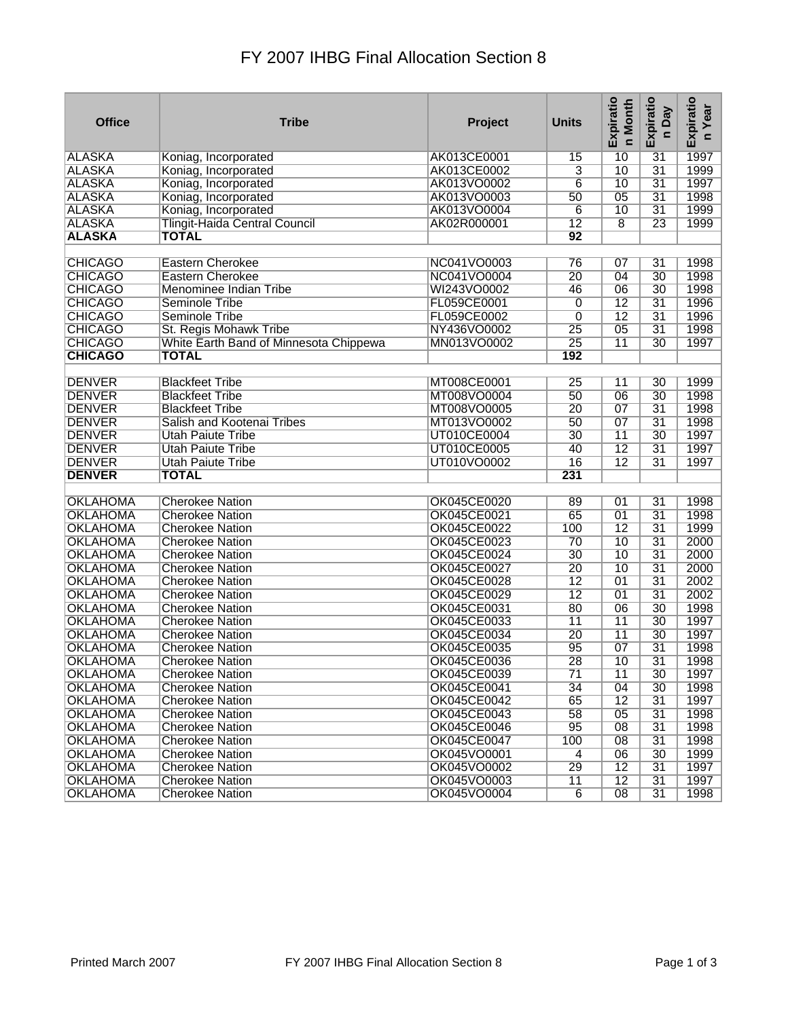## FY 2007 IHBG Final Allocation Section 8

| $\overline{31}$<br>1997<br><b>ALASKA</b><br>AK013CE0001<br>10<br>Koniag, Incorporated<br>15<br>$\overline{31}$<br>1999<br><b>ALASKA</b><br>AK013CE0002<br>3<br>10<br>Koniag, Incorporated<br><b>ALASKA</b><br>AK013VO0002<br>$\overline{6}$<br>10<br>$\overline{31}$<br>1997<br>Koniag, Incorporated<br><b>ALASKA</b><br>AK013VO0003<br>$\overline{05}$<br>$\overline{31}$<br>1998<br>Koniag, Incorporated<br>$\overline{50}$<br>$\overline{31}$<br>1999<br><b>ALASKA</b><br>AK013VO0004<br>$\overline{10}$<br>Koniag, Incorporated<br>6<br><b>ALASKA</b><br>$\overline{12}$<br>$\overline{8}$<br>$\overline{23}$<br>1999<br><b>Tlingit-Haida Central Council</b><br>AK02R000001<br><b>ALASKA</b><br>$\overline{92}$<br><b>TOTAL</b><br><b>CHICAGO</b><br><b>Eastern Cherokee</b><br>NC041VO0003<br>$\overline{31}$<br>76<br>07<br>1998<br><b>CHICAGO</b><br>NC041VO0004<br>$\overline{20}$<br>04<br>30<br>1998<br><b>Eastern Cherokee</b><br><b>CHICAGO</b><br>$\overline{30}$<br>1998<br>WI243VO0002<br>46<br>$\overline{06}$<br>Menominee Indian Tribe<br>1996<br><b>CHICAGO</b><br>FL059CE0001<br>$\overline{12}$<br>$\overline{31}$<br>Seminole Tribe<br>0<br>$\overline{12}$<br>$\overline{31}$<br>1996<br><b>CHICAGO</b><br><b>Seminole Tribe</b><br>FL059CE0002<br>0<br><b>CHICAGO</b><br>$\overline{05}$<br>$\overline{31}$<br>1998<br>NY436VO0002<br>$\overline{25}$<br>St. Regis Mohawk Tribe<br><b>CHICAGO</b><br>MN013VO0002<br>$\overline{25}$<br>$\overline{11}$<br>$\overline{30}$<br>1997<br>White Earth Band of Minnesota Chippewa<br><b>CHICAGO</b><br><b>TOTAL</b><br>192<br><b>DENVER</b><br><b>Blackfeet Tribe</b><br>MT008CE0001<br>$\overline{25}$<br>1999<br>$\overline{11}$<br>$\overline{30}$<br>$\overline{30}$<br>1998<br><b>DENVER</b><br>MT008VO0004<br>50<br>$\overline{06}$<br><b>Blackfeet Tribe</b><br><b>DENVER</b><br>MT008VO0005<br>$\overline{20}$<br>$\overline{07}$<br>$\overline{31}$<br>1998<br><b>Blackfeet Tribe</b><br>$\overline{31}$<br>1998<br><b>DENVER</b><br>Salish and Kootenai Tribes<br>MT013VO0002<br>$\overline{50}$<br>$\overline{07}$<br>1997<br><b>DENVER</b><br>UT010CE0004<br>$\overline{30}$<br>$\overline{11}$<br>$\overline{30}$<br><b>Utah Paiute Tribe</b><br>$\overline{12}$<br>$\overline{31}$<br>1997<br><b>DENVER</b><br><b>Utah Paiute Tribe</b><br>UT010CE0005<br>40<br>$\overline{12}$<br>$\overline{16}$<br>$\overline{31}$<br>1997<br><b>DENVER</b><br><b>Utah Paiute Tribe</b><br>UT010VO0002<br><b>DENVER</b><br>231<br><b>TOTAL</b><br><b>OKLAHOMA</b><br><b>Cherokee Nation</b><br>OK045CE0020<br>01<br>$\overline{31}$<br>1998<br>89<br><b>OKLAHOMA</b><br>OK045CE0021<br>65<br>$\overline{01}$<br>$\overline{31}$<br>1998<br><b>Cherokee Nation</b><br><b>OKLAHOMA</b><br>OK045CE0022<br>$\overline{12}$<br>$\overline{31}$<br>1999<br>100<br><b>Cherokee Nation</b><br>$\overline{31}$<br><b>OKLAHOMA</b><br>OK045CE0023<br>10<br>2000<br><b>Cherokee Nation</b><br>$\overline{70}$<br>$\overline{31}$<br>2000<br>$\overline{30}$<br>$\overline{10}$<br><b>OKLAHOMA</b><br><b>Cherokee Nation</b><br>OK045CE0024<br>$\overline{20}$<br>$\overline{10}$<br>$\overline{31}$<br>2000<br><b>OKLAHOMA</b><br>OK045CE0027<br><b>Cherokee Nation</b><br>$\overline{01}$<br>$\overline{31}$<br>2002<br><b>OKLAHOMA</b><br>OK045CE0028<br>$\overline{12}$<br><b>Cherokee Nation</b><br><b>OKLAHOMA</b><br>OK045CE0029<br>$\overline{12}$<br>$\overline{01}$<br>$\overline{31}$<br>2002<br><b>Cherokee Nation</b><br>80<br><b>OKLAHOMA</b><br>OK045CE0031<br>$\overline{06}$<br>30<br>1998<br><b>Cherokee Nation</b><br>OK045CE0033<br>1997<br><b>OKLAHOMA</b><br>11<br>$\overline{11}$<br>$\overline{30}$<br><b>Cherokee Nation</b><br><b>OKLAHOMA</b><br>OK045CE0034<br>$\overline{20}$<br>$\overline{11}$<br>$\overline{30}$<br>1997<br><b>Cherokee Nation</b><br>$\overline{07}$<br><b>OKLAHOMA</b><br><b>OK045CE0035</b><br>95<br>$\overline{31}$<br>1998<br><b>Cherokee Nation</b><br>$\overline{28}$<br>$\overline{10}$<br>$\overline{31}$<br>1998<br><b>OKLAHOMA</b><br><b>Cherokee Nation</b><br><b>OK045CE0036</b><br><b>OKLAHOMA</b><br>OK045CE0039<br><b>Cherokee Nation</b><br>11<br>1997<br>30<br>71<br><b>OKLAHOMA</b><br>OK045CE0041<br>34<br>04<br>30<br>1998<br><b>Cherokee Nation</b><br><b>OKLAHOMA</b><br>OK045CE0042<br>65<br>$\overline{12}$<br>$\overline{31}$<br>1997<br><b>Cherokee Nation</b><br><b>OKLAHOMA</b><br>OK045CE0043<br>$\overline{58}$<br>$\overline{05}$<br>$\overline{31}$<br>1998<br><b>Cherokee Nation</b><br><b>OKLAHOMA</b><br>OK045CE0046<br>95<br>$\overline{08}$<br>$\overline{31}$<br>1998<br><b>Cherokee Nation</b><br><b>OKLAHOMA</b><br>$\overline{31}$<br>1998<br><b>Cherokee Nation</b><br>OK045CE0047<br>100<br>08<br><b>OKLAHOMA</b><br>OK045VO0001<br>$\overline{30}$<br>1999<br><b>Cherokee Nation</b><br>$\overline{4}$<br>06<br><b>OKLAHOMA</b><br>OK045VO0002<br>29<br>$\overline{12}$<br>$\overline{31}$<br>1997<br><b>Cherokee Nation</b><br><b>OKLAHOMA</b><br><b>Cherokee Nation</b><br>OK045VO0003<br>$\overline{11}$<br>$\overline{12}$<br>$\overline{31}$<br>1997 | <b>Office</b> | <b>Tribe</b> | Project | <b>Units</b> | Expiratio<br>n Month | Expiratio<br>n Day | Expiratio<br>Year<br>$\epsilon$ |
|----------------------------------------------------------------------------------------------------------------------------------------------------------------------------------------------------------------------------------------------------------------------------------------------------------------------------------------------------------------------------------------------------------------------------------------------------------------------------------------------------------------------------------------------------------------------------------------------------------------------------------------------------------------------------------------------------------------------------------------------------------------------------------------------------------------------------------------------------------------------------------------------------------------------------------------------------------------------------------------------------------------------------------------------------------------------------------------------------------------------------------------------------------------------------------------------------------------------------------------------------------------------------------------------------------------------------------------------------------------------------------------------------------------------------------------------------------------------------------------------------------------------------------------------------------------------------------------------------------------------------------------------------------------------------------------------------------------------------------------------------------------------------------------------------------------------------------------------------------------------------------------------------------------------------------------------------------------------------------------------------------------------------------------------------------------------------------------------------------------------------------------------------------------------------------------------------------------------------------------------------------------------------------------------------------------------------------------------------------------------------------------------------------------------------------------------------------------------------------------------------------------------------------------------------------------------------------------------------------------------------------------------------------------------------------------------------------------------------------------------------------------------------------------------------------------------------------------------------------------------------------------------------------------------------------------------------------------------------------------------------------------------------------------------------------------------------------------------------------------------------------------------------------------------------------------------------------------------------------------------------------------------------------------------------------------------------------------------------------------------------------------------------------------------------------------------------------------------------------------------------------------------------------------------------------------------------------------------------------------------------------------------------------------------------------------------------------------------------------------------------------------------------------------------------------------------------------------------------------------------------------------------------------------------------------------------------------------------------------------------------------------------------------------------------------------------------------------------------------------------------------------------------------------------------------------------------------------------------------------------------------------------------------------------------------------------------------------------------------------------------------------------------------------------------------------------------------------------------------------------------------------------------------------------------------------------------------------------------------------------------------------------------------------------------------------------------------------------------------------------------------------------------------------------------------------------------------------------------------------------------------------------------------------------------------------------------------------------------------------------------------------------------------------------------------------------------------------------------------------|---------------|--------------|---------|--------------|----------------------|--------------------|---------------------------------|
|                                                                                                                                                                                                                                                                                                                                                                                                                                                                                                                                                                                                                                                                                                                                                                                                                                                                                                                                                                                                                                                                                                                                                                                                                                                                                                                                                                                                                                                                                                                                                                                                                                                                                                                                                                                                                                                                                                                                                                                                                                                                                                                                                                                                                                                                                                                                                                                                                                                                                                                                                                                                                                                                                                                                                                                                                                                                                                                                                                                                                                                                                                                                                                                                                                                                                                                                                                                                                                                                                                                                                                                                                                                                                                                                                                                                                                                                                                                                                                                                                                                                                                                                                                                                                                                                                                                                                                                                                                                                                                                                                                                                                                                                                                                                                                                                                                                                                                                                                                                                                                                                                                                |               |              |         |              |                      |                    |                                 |
|                                                                                                                                                                                                                                                                                                                                                                                                                                                                                                                                                                                                                                                                                                                                                                                                                                                                                                                                                                                                                                                                                                                                                                                                                                                                                                                                                                                                                                                                                                                                                                                                                                                                                                                                                                                                                                                                                                                                                                                                                                                                                                                                                                                                                                                                                                                                                                                                                                                                                                                                                                                                                                                                                                                                                                                                                                                                                                                                                                                                                                                                                                                                                                                                                                                                                                                                                                                                                                                                                                                                                                                                                                                                                                                                                                                                                                                                                                                                                                                                                                                                                                                                                                                                                                                                                                                                                                                                                                                                                                                                                                                                                                                                                                                                                                                                                                                                                                                                                                                                                                                                                                                |               |              |         |              |                      |                    |                                 |
|                                                                                                                                                                                                                                                                                                                                                                                                                                                                                                                                                                                                                                                                                                                                                                                                                                                                                                                                                                                                                                                                                                                                                                                                                                                                                                                                                                                                                                                                                                                                                                                                                                                                                                                                                                                                                                                                                                                                                                                                                                                                                                                                                                                                                                                                                                                                                                                                                                                                                                                                                                                                                                                                                                                                                                                                                                                                                                                                                                                                                                                                                                                                                                                                                                                                                                                                                                                                                                                                                                                                                                                                                                                                                                                                                                                                                                                                                                                                                                                                                                                                                                                                                                                                                                                                                                                                                                                                                                                                                                                                                                                                                                                                                                                                                                                                                                                                                                                                                                                                                                                                                                                |               |              |         |              |                      |                    |                                 |
|                                                                                                                                                                                                                                                                                                                                                                                                                                                                                                                                                                                                                                                                                                                                                                                                                                                                                                                                                                                                                                                                                                                                                                                                                                                                                                                                                                                                                                                                                                                                                                                                                                                                                                                                                                                                                                                                                                                                                                                                                                                                                                                                                                                                                                                                                                                                                                                                                                                                                                                                                                                                                                                                                                                                                                                                                                                                                                                                                                                                                                                                                                                                                                                                                                                                                                                                                                                                                                                                                                                                                                                                                                                                                                                                                                                                                                                                                                                                                                                                                                                                                                                                                                                                                                                                                                                                                                                                                                                                                                                                                                                                                                                                                                                                                                                                                                                                                                                                                                                                                                                                                                                |               |              |         |              |                      |                    |                                 |
|                                                                                                                                                                                                                                                                                                                                                                                                                                                                                                                                                                                                                                                                                                                                                                                                                                                                                                                                                                                                                                                                                                                                                                                                                                                                                                                                                                                                                                                                                                                                                                                                                                                                                                                                                                                                                                                                                                                                                                                                                                                                                                                                                                                                                                                                                                                                                                                                                                                                                                                                                                                                                                                                                                                                                                                                                                                                                                                                                                                                                                                                                                                                                                                                                                                                                                                                                                                                                                                                                                                                                                                                                                                                                                                                                                                                                                                                                                                                                                                                                                                                                                                                                                                                                                                                                                                                                                                                                                                                                                                                                                                                                                                                                                                                                                                                                                                                                                                                                                                                                                                                                                                |               |              |         |              |                      |                    |                                 |
|                                                                                                                                                                                                                                                                                                                                                                                                                                                                                                                                                                                                                                                                                                                                                                                                                                                                                                                                                                                                                                                                                                                                                                                                                                                                                                                                                                                                                                                                                                                                                                                                                                                                                                                                                                                                                                                                                                                                                                                                                                                                                                                                                                                                                                                                                                                                                                                                                                                                                                                                                                                                                                                                                                                                                                                                                                                                                                                                                                                                                                                                                                                                                                                                                                                                                                                                                                                                                                                                                                                                                                                                                                                                                                                                                                                                                                                                                                                                                                                                                                                                                                                                                                                                                                                                                                                                                                                                                                                                                                                                                                                                                                                                                                                                                                                                                                                                                                                                                                                                                                                                                                                |               |              |         |              |                      |                    |                                 |
|                                                                                                                                                                                                                                                                                                                                                                                                                                                                                                                                                                                                                                                                                                                                                                                                                                                                                                                                                                                                                                                                                                                                                                                                                                                                                                                                                                                                                                                                                                                                                                                                                                                                                                                                                                                                                                                                                                                                                                                                                                                                                                                                                                                                                                                                                                                                                                                                                                                                                                                                                                                                                                                                                                                                                                                                                                                                                                                                                                                                                                                                                                                                                                                                                                                                                                                                                                                                                                                                                                                                                                                                                                                                                                                                                                                                                                                                                                                                                                                                                                                                                                                                                                                                                                                                                                                                                                                                                                                                                                                                                                                                                                                                                                                                                                                                                                                                                                                                                                                                                                                                                                                |               |              |         |              |                      |                    |                                 |
|                                                                                                                                                                                                                                                                                                                                                                                                                                                                                                                                                                                                                                                                                                                                                                                                                                                                                                                                                                                                                                                                                                                                                                                                                                                                                                                                                                                                                                                                                                                                                                                                                                                                                                                                                                                                                                                                                                                                                                                                                                                                                                                                                                                                                                                                                                                                                                                                                                                                                                                                                                                                                                                                                                                                                                                                                                                                                                                                                                                                                                                                                                                                                                                                                                                                                                                                                                                                                                                                                                                                                                                                                                                                                                                                                                                                                                                                                                                                                                                                                                                                                                                                                                                                                                                                                                                                                                                                                                                                                                                                                                                                                                                                                                                                                                                                                                                                                                                                                                                                                                                                                                                |               |              |         |              |                      |                    |                                 |
|                                                                                                                                                                                                                                                                                                                                                                                                                                                                                                                                                                                                                                                                                                                                                                                                                                                                                                                                                                                                                                                                                                                                                                                                                                                                                                                                                                                                                                                                                                                                                                                                                                                                                                                                                                                                                                                                                                                                                                                                                                                                                                                                                                                                                                                                                                                                                                                                                                                                                                                                                                                                                                                                                                                                                                                                                                                                                                                                                                                                                                                                                                                                                                                                                                                                                                                                                                                                                                                                                                                                                                                                                                                                                                                                                                                                                                                                                                                                                                                                                                                                                                                                                                                                                                                                                                                                                                                                                                                                                                                                                                                                                                                                                                                                                                                                                                                                                                                                                                                                                                                                                                                |               |              |         |              |                      |                    |                                 |
|                                                                                                                                                                                                                                                                                                                                                                                                                                                                                                                                                                                                                                                                                                                                                                                                                                                                                                                                                                                                                                                                                                                                                                                                                                                                                                                                                                                                                                                                                                                                                                                                                                                                                                                                                                                                                                                                                                                                                                                                                                                                                                                                                                                                                                                                                                                                                                                                                                                                                                                                                                                                                                                                                                                                                                                                                                                                                                                                                                                                                                                                                                                                                                                                                                                                                                                                                                                                                                                                                                                                                                                                                                                                                                                                                                                                                                                                                                                                                                                                                                                                                                                                                                                                                                                                                                                                                                                                                                                                                                                                                                                                                                                                                                                                                                                                                                                                                                                                                                                                                                                                                                                |               |              |         |              |                      |                    |                                 |
|                                                                                                                                                                                                                                                                                                                                                                                                                                                                                                                                                                                                                                                                                                                                                                                                                                                                                                                                                                                                                                                                                                                                                                                                                                                                                                                                                                                                                                                                                                                                                                                                                                                                                                                                                                                                                                                                                                                                                                                                                                                                                                                                                                                                                                                                                                                                                                                                                                                                                                                                                                                                                                                                                                                                                                                                                                                                                                                                                                                                                                                                                                                                                                                                                                                                                                                                                                                                                                                                                                                                                                                                                                                                                                                                                                                                                                                                                                                                                                                                                                                                                                                                                                                                                                                                                                                                                                                                                                                                                                                                                                                                                                                                                                                                                                                                                                                                                                                                                                                                                                                                                                                |               |              |         |              |                      |                    |                                 |
|                                                                                                                                                                                                                                                                                                                                                                                                                                                                                                                                                                                                                                                                                                                                                                                                                                                                                                                                                                                                                                                                                                                                                                                                                                                                                                                                                                                                                                                                                                                                                                                                                                                                                                                                                                                                                                                                                                                                                                                                                                                                                                                                                                                                                                                                                                                                                                                                                                                                                                                                                                                                                                                                                                                                                                                                                                                                                                                                                                                                                                                                                                                                                                                                                                                                                                                                                                                                                                                                                                                                                                                                                                                                                                                                                                                                                                                                                                                                                                                                                                                                                                                                                                                                                                                                                                                                                                                                                                                                                                                                                                                                                                                                                                                                                                                                                                                                                                                                                                                                                                                                                                                |               |              |         |              |                      |                    |                                 |
|                                                                                                                                                                                                                                                                                                                                                                                                                                                                                                                                                                                                                                                                                                                                                                                                                                                                                                                                                                                                                                                                                                                                                                                                                                                                                                                                                                                                                                                                                                                                                                                                                                                                                                                                                                                                                                                                                                                                                                                                                                                                                                                                                                                                                                                                                                                                                                                                                                                                                                                                                                                                                                                                                                                                                                                                                                                                                                                                                                                                                                                                                                                                                                                                                                                                                                                                                                                                                                                                                                                                                                                                                                                                                                                                                                                                                                                                                                                                                                                                                                                                                                                                                                                                                                                                                                                                                                                                                                                                                                                                                                                                                                                                                                                                                                                                                                                                                                                                                                                                                                                                                                                |               |              |         |              |                      |                    |                                 |
|                                                                                                                                                                                                                                                                                                                                                                                                                                                                                                                                                                                                                                                                                                                                                                                                                                                                                                                                                                                                                                                                                                                                                                                                                                                                                                                                                                                                                                                                                                                                                                                                                                                                                                                                                                                                                                                                                                                                                                                                                                                                                                                                                                                                                                                                                                                                                                                                                                                                                                                                                                                                                                                                                                                                                                                                                                                                                                                                                                                                                                                                                                                                                                                                                                                                                                                                                                                                                                                                                                                                                                                                                                                                                                                                                                                                                                                                                                                                                                                                                                                                                                                                                                                                                                                                                                                                                                                                                                                                                                                                                                                                                                                                                                                                                                                                                                                                                                                                                                                                                                                                                                                |               |              |         |              |                      |                    |                                 |
|                                                                                                                                                                                                                                                                                                                                                                                                                                                                                                                                                                                                                                                                                                                                                                                                                                                                                                                                                                                                                                                                                                                                                                                                                                                                                                                                                                                                                                                                                                                                                                                                                                                                                                                                                                                                                                                                                                                                                                                                                                                                                                                                                                                                                                                                                                                                                                                                                                                                                                                                                                                                                                                                                                                                                                                                                                                                                                                                                                                                                                                                                                                                                                                                                                                                                                                                                                                                                                                                                                                                                                                                                                                                                                                                                                                                                                                                                                                                                                                                                                                                                                                                                                                                                                                                                                                                                                                                                                                                                                                                                                                                                                                                                                                                                                                                                                                                                                                                                                                                                                                                                                                |               |              |         |              |                      |                    |                                 |
|                                                                                                                                                                                                                                                                                                                                                                                                                                                                                                                                                                                                                                                                                                                                                                                                                                                                                                                                                                                                                                                                                                                                                                                                                                                                                                                                                                                                                                                                                                                                                                                                                                                                                                                                                                                                                                                                                                                                                                                                                                                                                                                                                                                                                                                                                                                                                                                                                                                                                                                                                                                                                                                                                                                                                                                                                                                                                                                                                                                                                                                                                                                                                                                                                                                                                                                                                                                                                                                                                                                                                                                                                                                                                                                                                                                                                                                                                                                                                                                                                                                                                                                                                                                                                                                                                                                                                                                                                                                                                                                                                                                                                                                                                                                                                                                                                                                                                                                                                                                                                                                                                                                |               |              |         |              |                      |                    |                                 |
|                                                                                                                                                                                                                                                                                                                                                                                                                                                                                                                                                                                                                                                                                                                                                                                                                                                                                                                                                                                                                                                                                                                                                                                                                                                                                                                                                                                                                                                                                                                                                                                                                                                                                                                                                                                                                                                                                                                                                                                                                                                                                                                                                                                                                                                                                                                                                                                                                                                                                                                                                                                                                                                                                                                                                                                                                                                                                                                                                                                                                                                                                                                                                                                                                                                                                                                                                                                                                                                                                                                                                                                                                                                                                                                                                                                                                                                                                                                                                                                                                                                                                                                                                                                                                                                                                                                                                                                                                                                                                                                                                                                                                                                                                                                                                                                                                                                                                                                                                                                                                                                                                                                |               |              |         |              |                      |                    |                                 |
|                                                                                                                                                                                                                                                                                                                                                                                                                                                                                                                                                                                                                                                                                                                                                                                                                                                                                                                                                                                                                                                                                                                                                                                                                                                                                                                                                                                                                                                                                                                                                                                                                                                                                                                                                                                                                                                                                                                                                                                                                                                                                                                                                                                                                                                                                                                                                                                                                                                                                                                                                                                                                                                                                                                                                                                                                                                                                                                                                                                                                                                                                                                                                                                                                                                                                                                                                                                                                                                                                                                                                                                                                                                                                                                                                                                                                                                                                                                                                                                                                                                                                                                                                                                                                                                                                                                                                                                                                                                                                                                                                                                                                                                                                                                                                                                                                                                                                                                                                                                                                                                                                                                |               |              |         |              |                      |                    |                                 |
|                                                                                                                                                                                                                                                                                                                                                                                                                                                                                                                                                                                                                                                                                                                                                                                                                                                                                                                                                                                                                                                                                                                                                                                                                                                                                                                                                                                                                                                                                                                                                                                                                                                                                                                                                                                                                                                                                                                                                                                                                                                                                                                                                                                                                                                                                                                                                                                                                                                                                                                                                                                                                                                                                                                                                                                                                                                                                                                                                                                                                                                                                                                                                                                                                                                                                                                                                                                                                                                                                                                                                                                                                                                                                                                                                                                                                                                                                                                                                                                                                                                                                                                                                                                                                                                                                                                                                                                                                                                                                                                                                                                                                                                                                                                                                                                                                                                                                                                                                                                                                                                                                                                |               |              |         |              |                      |                    |                                 |
|                                                                                                                                                                                                                                                                                                                                                                                                                                                                                                                                                                                                                                                                                                                                                                                                                                                                                                                                                                                                                                                                                                                                                                                                                                                                                                                                                                                                                                                                                                                                                                                                                                                                                                                                                                                                                                                                                                                                                                                                                                                                                                                                                                                                                                                                                                                                                                                                                                                                                                                                                                                                                                                                                                                                                                                                                                                                                                                                                                                                                                                                                                                                                                                                                                                                                                                                                                                                                                                                                                                                                                                                                                                                                                                                                                                                                                                                                                                                                                                                                                                                                                                                                                                                                                                                                                                                                                                                                                                                                                                                                                                                                                                                                                                                                                                                                                                                                                                                                                                                                                                                                                                |               |              |         |              |                      |                    |                                 |
|                                                                                                                                                                                                                                                                                                                                                                                                                                                                                                                                                                                                                                                                                                                                                                                                                                                                                                                                                                                                                                                                                                                                                                                                                                                                                                                                                                                                                                                                                                                                                                                                                                                                                                                                                                                                                                                                                                                                                                                                                                                                                                                                                                                                                                                                                                                                                                                                                                                                                                                                                                                                                                                                                                                                                                                                                                                                                                                                                                                                                                                                                                                                                                                                                                                                                                                                                                                                                                                                                                                                                                                                                                                                                                                                                                                                                                                                                                                                                                                                                                                                                                                                                                                                                                                                                                                                                                                                                                                                                                                                                                                                                                                                                                                                                                                                                                                                                                                                                                                                                                                                                                                |               |              |         |              |                      |                    |                                 |
|                                                                                                                                                                                                                                                                                                                                                                                                                                                                                                                                                                                                                                                                                                                                                                                                                                                                                                                                                                                                                                                                                                                                                                                                                                                                                                                                                                                                                                                                                                                                                                                                                                                                                                                                                                                                                                                                                                                                                                                                                                                                                                                                                                                                                                                                                                                                                                                                                                                                                                                                                                                                                                                                                                                                                                                                                                                                                                                                                                                                                                                                                                                                                                                                                                                                                                                                                                                                                                                                                                                                                                                                                                                                                                                                                                                                                                                                                                                                                                                                                                                                                                                                                                                                                                                                                                                                                                                                                                                                                                                                                                                                                                                                                                                                                                                                                                                                                                                                                                                                                                                                                                                |               |              |         |              |                      |                    |                                 |
|                                                                                                                                                                                                                                                                                                                                                                                                                                                                                                                                                                                                                                                                                                                                                                                                                                                                                                                                                                                                                                                                                                                                                                                                                                                                                                                                                                                                                                                                                                                                                                                                                                                                                                                                                                                                                                                                                                                                                                                                                                                                                                                                                                                                                                                                                                                                                                                                                                                                                                                                                                                                                                                                                                                                                                                                                                                                                                                                                                                                                                                                                                                                                                                                                                                                                                                                                                                                                                                                                                                                                                                                                                                                                                                                                                                                                                                                                                                                                                                                                                                                                                                                                                                                                                                                                                                                                                                                                                                                                                                                                                                                                                                                                                                                                                                                                                                                                                                                                                                                                                                                                                                |               |              |         |              |                      |                    |                                 |
|                                                                                                                                                                                                                                                                                                                                                                                                                                                                                                                                                                                                                                                                                                                                                                                                                                                                                                                                                                                                                                                                                                                                                                                                                                                                                                                                                                                                                                                                                                                                                                                                                                                                                                                                                                                                                                                                                                                                                                                                                                                                                                                                                                                                                                                                                                                                                                                                                                                                                                                                                                                                                                                                                                                                                                                                                                                                                                                                                                                                                                                                                                                                                                                                                                                                                                                                                                                                                                                                                                                                                                                                                                                                                                                                                                                                                                                                                                                                                                                                                                                                                                                                                                                                                                                                                                                                                                                                                                                                                                                                                                                                                                                                                                                                                                                                                                                                                                                                                                                                                                                                                                                |               |              |         |              |                      |                    |                                 |
|                                                                                                                                                                                                                                                                                                                                                                                                                                                                                                                                                                                                                                                                                                                                                                                                                                                                                                                                                                                                                                                                                                                                                                                                                                                                                                                                                                                                                                                                                                                                                                                                                                                                                                                                                                                                                                                                                                                                                                                                                                                                                                                                                                                                                                                                                                                                                                                                                                                                                                                                                                                                                                                                                                                                                                                                                                                                                                                                                                                                                                                                                                                                                                                                                                                                                                                                                                                                                                                                                                                                                                                                                                                                                                                                                                                                                                                                                                                                                                                                                                                                                                                                                                                                                                                                                                                                                                                                                                                                                                                                                                                                                                                                                                                                                                                                                                                                                                                                                                                                                                                                                                                |               |              |         |              |                      |                    |                                 |
|                                                                                                                                                                                                                                                                                                                                                                                                                                                                                                                                                                                                                                                                                                                                                                                                                                                                                                                                                                                                                                                                                                                                                                                                                                                                                                                                                                                                                                                                                                                                                                                                                                                                                                                                                                                                                                                                                                                                                                                                                                                                                                                                                                                                                                                                                                                                                                                                                                                                                                                                                                                                                                                                                                                                                                                                                                                                                                                                                                                                                                                                                                                                                                                                                                                                                                                                                                                                                                                                                                                                                                                                                                                                                                                                                                                                                                                                                                                                                                                                                                                                                                                                                                                                                                                                                                                                                                                                                                                                                                                                                                                                                                                                                                                                                                                                                                                                                                                                                                                                                                                                                                                |               |              |         |              |                      |                    |                                 |
|                                                                                                                                                                                                                                                                                                                                                                                                                                                                                                                                                                                                                                                                                                                                                                                                                                                                                                                                                                                                                                                                                                                                                                                                                                                                                                                                                                                                                                                                                                                                                                                                                                                                                                                                                                                                                                                                                                                                                                                                                                                                                                                                                                                                                                                                                                                                                                                                                                                                                                                                                                                                                                                                                                                                                                                                                                                                                                                                                                                                                                                                                                                                                                                                                                                                                                                                                                                                                                                                                                                                                                                                                                                                                                                                                                                                                                                                                                                                                                                                                                                                                                                                                                                                                                                                                                                                                                                                                                                                                                                                                                                                                                                                                                                                                                                                                                                                                                                                                                                                                                                                                                                |               |              |         |              |                      |                    |                                 |
|                                                                                                                                                                                                                                                                                                                                                                                                                                                                                                                                                                                                                                                                                                                                                                                                                                                                                                                                                                                                                                                                                                                                                                                                                                                                                                                                                                                                                                                                                                                                                                                                                                                                                                                                                                                                                                                                                                                                                                                                                                                                                                                                                                                                                                                                                                                                                                                                                                                                                                                                                                                                                                                                                                                                                                                                                                                                                                                                                                                                                                                                                                                                                                                                                                                                                                                                                                                                                                                                                                                                                                                                                                                                                                                                                                                                                                                                                                                                                                                                                                                                                                                                                                                                                                                                                                                                                                                                                                                                                                                                                                                                                                                                                                                                                                                                                                                                                                                                                                                                                                                                                                                |               |              |         |              |                      |                    |                                 |
|                                                                                                                                                                                                                                                                                                                                                                                                                                                                                                                                                                                                                                                                                                                                                                                                                                                                                                                                                                                                                                                                                                                                                                                                                                                                                                                                                                                                                                                                                                                                                                                                                                                                                                                                                                                                                                                                                                                                                                                                                                                                                                                                                                                                                                                                                                                                                                                                                                                                                                                                                                                                                                                                                                                                                                                                                                                                                                                                                                                                                                                                                                                                                                                                                                                                                                                                                                                                                                                                                                                                                                                                                                                                                                                                                                                                                                                                                                                                                                                                                                                                                                                                                                                                                                                                                                                                                                                                                                                                                                                                                                                                                                                                                                                                                                                                                                                                                                                                                                                                                                                                                                                |               |              |         |              |                      |                    |                                 |
|                                                                                                                                                                                                                                                                                                                                                                                                                                                                                                                                                                                                                                                                                                                                                                                                                                                                                                                                                                                                                                                                                                                                                                                                                                                                                                                                                                                                                                                                                                                                                                                                                                                                                                                                                                                                                                                                                                                                                                                                                                                                                                                                                                                                                                                                                                                                                                                                                                                                                                                                                                                                                                                                                                                                                                                                                                                                                                                                                                                                                                                                                                                                                                                                                                                                                                                                                                                                                                                                                                                                                                                                                                                                                                                                                                                                                                                                                                                                                                                                                                                                                                                                                                                                                                                                                                                                                                                                                                                                                                                                                                                                                                                                                                                                                                                                                                                                                                                                                                                                                                                                                                                |               |              |         |              |                      |                    |                                 |
|                                                                                                                                                                                                                                                                                                                                                                                                                                                                                                                                                                                                                                                                                                                                                                                                                                                                                                                                                                                                                                                                                                                                                                                                                                                                                                                                                                                                                                                                                                                                                                                                                                                                                                                                                                                                                                                                                                                                                                                                                                                                                                                                                                                                                                                                                                                                                                                                                                                                                                                                                                                                                                                                                                                                                                                                                                                                                                                                                                                                                                                                                                                                                                                                                                                                                                                                                                                                                                                                                                                                                                                                                                                                                                                                                                                                                                                                                                                                                                                                                                                                                                                                                                                                                                                                                                                                                                                                                                                                                                                                                                                                                                                                                                                                                                                                                                                                                                                                                                                                                                                                                                                |               |              |         |              |                      |                    |                                 |
|                                                                                                                                                                                                                                                                                                                                                                                                                                                                                                                                                                                                                                                                                                                                                                                                                                                                                                                                                                                                                                                                                                                                                                                                                                                                                                                                                                                                                                                                                                                                                                                                                                                                                                                                                                                                                                                                                                                                                                                                                                                                                                                                                                                                                                                                                                                                                                                                                                                                                                                                                                                                                                                                                                                                                                                                                                                                                                                                                                                                                                                                                                                                                                                                                                                                                                                                                                                                                                                                                                                                                                                                                                                                                                                                                                                                                                                                                                                                                                                                                                                                                                                                                                                                                                                                                                                                                                                                                                                                                                                                                                                                                                                                                                                                                                                                                                                                                                                                                                                                                                                                                                                |               |              |         |              |                      |                    |                                 |
|                                                                                                                                                                                                                                                                                                                                                                                                                                                                                                                                                                                                                                                                                                                                                                                                                                                                                                                                                                                                                                                                                                                                                                                                                                                                                                                                                                                                                                                                                                                                                                                                                                                                                                                                                                                                                                                                                                                                                                                                                                                                                                                                                                                                                                                                                                                                                                                                                                                                                                                                                                                                                                                                                                                                                                                                                                                                                                                                                                                                                                                                                                                                                                                                                                                                                                                                                                                                                                                                                                                                                                                                                                                                                                                                                                                                                                                                                                                                                                                                                                                                                                                                                                                                                                                                                                                                                                                                                                                                                                                                                                                                                                                                                                                                                                                                                                                                                                                                                                                                                                                                                                                |               |              |         |              |                      |                    |                                 |
|                                                                                                                                                                                                                                                                                                                                                                                                                                                                                                                                                                                                                                                                                                                                                                                                                                                                                                                                                                                                                                                                                                                                                                                                                                                                                                                                                                                                                                                                                                                                                                                                                                                                                                                                                                                                                                                                                                                                                                                                                                                                                                                                                                                                                                                                                                                                                                                                                                                                                                                                                                                                                                                                                                                                                                                                                                                                                                                                                                                                                                                                                                                                                                                                                                                                                                                                                                                                                                                                                                                                                                                                                                                                                                                                                                                                                                                                                                                                                                                                                                                                                                                                                                                                                                                                                                                                                                                                                                                                                                                                                                                                                                                                                                                                                                                                                                                                                                                                                                                                                                                                                                                |               |              |         |              |                      |                    |                                 |
|                                                                                                                                                                                                                                                                                                                                                                                                                                                                                                                                                                                                                                                                                                                                                                                                                                                                                                                                                                                                                                                                                                                                                                                                                                                                                                                                                                                                                                                                                                                                                                                                                                                                                                                                                                                                                                                                                                                                                                                                                                                                                                                                                                                                                                                                                                                                                                                                                                                                                                                                                                                                                                                                                                                                                                                                                                                                                                                                                                                                                                                                                                                                                                                                                                                                                                                                                                                                                                                                                                                                                                                                                                                                                                                                                                                                                                                                                                                                                                                                                                                                                                                                                                                                                                                                                                                                                                                                                                                                                                                                                                                                                                                                                                                                                                                                                                                                                                                                                                                                                                                                                                                |               |              |         |              |                      |                    |                                 |
|                                                                                                                                                                                                                                                                                                                                                                                                                                                                                                                                                                                                                                                                                                                                                                                                                                                                                                                                                                                                                                                                                                                                                                                                                                                                                                                                                                                                                                                                                                                                                                                                                                                                                                                                                                                                                                                                                                                                                                                                                                                                                                                                                                                                                                                                                                                                                                                                                                                                                                                                                                                                                                                                                                                                                                                                                                                                                                                                                                                                                                                                                                                                                                                                                                                                                                                                                                                                                                                                                                                                                                                                                                                                                                                                                                                                                                                                                                                                                                                                                                                                                                                                                                                                                                                                                                                                                                                                                                                                                                                                                                                                                                                                                                                                                                                                                                                                                                                                                                                                                                                                                                                |               |              |         |              |                      |                    |                                 |
|                                                                                                                                                                                                                                                                                                                                                                                                                                                                                                                                                                                                                                                                                                                                                                                                                                                                                                                                                                                                                                                                                                                                                                                                                                                                                                                                                                                                                                                                                                                                                                                                                                                                                                                                                                                                                                                                                                                                                                                                                                                                                                                                                                                                                                                                                                                                                                                                                                                                                                                                                                                                                                                                                                                                                                                                                                                                                                                                                                                                                                                                                                                                                                                                                                                                                                                                                                                                                                                                                                                                                                                                                                                                                                                                                                                                                                                                                                                                                                                                                                                                                                                                                                                                                                                                                                                                                                                                                                                                                                                                                                                                                                                                                                                                                                                                                                                                                                                                                                                                                                                                                                                |               |              |         |              |                      |                    |                                 |
|                                                                                                                                                                                                                                                                                                                                                                                                                                                                                                                                                                                                                                                                                                                                                                                                                                                                                                                                                                                                                                                                                                                                                                                                                                                                                                                                                                                                                                                                                                                                                                                                                                                                                                                                                                                                                                                                                                                                                                                                                                                                                                                                                                                                                                                                                                                                                                                                                                                                                                                                                                                                                                                                                                                                                                                                                                                                                                                                                                                                                                                                                                                                                                                                                                                                                                                                                                                                                                                                                                                                                                                                                                                                                                                                                                                                                                                                                                                                                                                                                                                                                                                                                                                                                                                                                                                                                                                                                                                                                                                                                                                                                                                                                                                                                                                                                                                                                                                                                                                                                                                                                                                |               |              |         |              |                      |                    |                                 |
|                                                                                                                                                                                                                                                                                                                                                                                                                                                                                                                                                                                                                                                                                                                                                                                                                                                                                                                                                                                                                                                                                                                                                                                                                                                                                                                                                                                                                                                                                                                                                                                                                                                                                                                                                                                                                                                                                                                                                                                                                                                                                                                                                                                                                                                                                                                                                                                                                                                                                                                                                                                                                                                                                                                                                                                                                                                                                                                                                                                                                                                                                                                                                                                                                                                                                                                                                                                                                                                                                                                                                                                                                                                                                                                                                                                                                                                                                                                                                                                                                                                                                                                                                                                                                                                                                                                                                                                                                                                                                                                                                                                                                                                                                                                                                                                                                                                                                                                                                                                                                                                                                                                |               |              |         |              |                      |                    |                                 |
|                                                                                                                                                                                                                                                                                                                                                                                                                                                                                                                                                                                                                                                                                                                                                                                                                                                                                                                                                                                                                                                                                                                                                                                                                                                                                                                                                                                                                                                                                                                                                                                                                                                                                                                                                                                                                                                                                                                                                                                                                                                                                                                                                                                                                                                                                                                                                                                                                                                                                                                                                                                                                                                                                                                                                                                                                                                                                                                                                                                                                                                                                                                                                                                                                                                                                                                                                                                                                                                                                                                                                                                                                                                                                                                                                                                                                                                                                                                                                                                                                                                                                                                                                                                                                                                                                                                                                                                                                                                                                                                                                                                                                                                                                                                                                                                                                                                                                                                                                                                                                                                                                                                |               |              |         |              |                      |                    |                                 |
|                                                                                                                                                                                                                                                                                                                                                                                                                                                                                                                                                                                                                                                                                                                                                                                                                                                                                                                                                                                                                                                                                                                                                                                                                                                                                                                                                                                                                                                                                                                                                                                                                                                                                                                                                                                                                                                                                                                                                                                                                                                                                                                                                                                                                                                                                                                                                                                                                                                                                                                                                                                                                                                                                                                                                                                                                                                                                                                                                                                                                                                                                                                                                                                                                                                                                                                                                                                                                                                                                                                                                                                                                                                                                                                                                                                                                                                                                                                                                                                                                                                                                                                                                                                                                                                                                                                                                                                                                                                                                                                                                                                                                                                                                                                                                                                                                                                                                                                                                                                                                                                                                                                |               |              |         |              |                      |                    |                                 |
|                                                                                                                                                                                                                                                                                                                                                                                                                                                                                                                                                                                                                                                                                                                                                                                                                                                                                                                                                                                                                                                                                                                                                                                                                                                                                                                                                                                                                                                                                                                                                                                                                                                                                                                                                                                                                                                                                                                                                                                                                                                                                                                                                                                                                                                                                                                                                                                                                                                                                                                                                                                                                                                                                                                                                                                                                                                                                                                                                                                                                                                                                                                                                                                                                                                                                                                                                                                                                                                                                                                                                                                                                                                                                                                                                                                                                                                                                                                                                                                                                                                                                                                                                                                                                                                                                                                                                                                                                                                                                                                                                                                                                                                                                                                                                                                                                                                                                                                                                                                                                                                                                                                |               |              |         |              |                      |                    |                                 |
|                                                                                                                                                                                                                                                                                                                                                                                                                                                                                                                                                                                                                                                                                                                                                                                                                                                                                                                                                                                                                                                                                                                                                                                                                                                                                                                                                                                                                                                                                                                                                                                                                                                                                                                                                                                                                                                                                                                                                                                                                                                                                                                                                                                                                                                                                                                                                                                                                                                                                                                                                                                                                                                                                                                                                                                                                                                                                                                                                                                                                                                                                                                                                                                                                                                                                                                                                                                                                                                                                                                                                                                                                                                                                                                                                                                                                                                                                                                                                                                                                                                                                                                                                                                                                                                                                                                                                                                                                                                                                                                                                                                                                                                                                                                                                                                                                                                                                                                                                                                                                                                                                                                |               |              |         |              |                      |                    |                                 |
|                                                                                                                                                                                                                                                                                                                                                                                                                                                                                                                                                                                                                                                                                                                                                                                                                                                                                                                                                                                                                                                                                                                                                                                                                                                                                                                                                                                                                                                                                                                                                                                                                                                                                                                                                                                                                                                                                                                                                                                                                                                                                                                                                                                                                                                                                                                                                                                                                                                                                                                                                                                                                                                                                                                                                                                                                                                                                                                                                                                                                                                                                                                                                                                                                                                                                                                                                                                                                                                                                                                                                                                                                                                                                                                                                                                                                                                                                                                                                                                                                                                                                                                                                                                                                                                                                                                                                                                                                                                                                                                                                                                                                                                                                                                                                                                                                                                                                                                                                                                                                                                                                                                |               |              |         |              |                      |                    |                                 |
|                                                                                                                                                                                                                                                                                                                                                                                                                                                                                                                                                                                                                                                                                                                                                                                                                                                                                                                                                                                                                                                                                                                                                                                                                                                                                                                                                                                                                                                                                                                                                                                                                                                                                                                                                                                                                                                                                                                                                                                                                                                                                                                                                                                                                                                                                                                                                                                                                                                                                                                                                                                                                                                                                                                                                                                                                                                                                                                                                                                                                                                                                                                                                                                                                                                                                                                                                                                                                                                                                                                                                                                                                                                                                                                                                                                                                                                                                                                                                                                                                                                                                                                                                                                                                                                                                                                                                                                                                                                                                                                                                                                                                                                                                                                                                                                                                                                                                                                                                                                                                                                                                                                |               |              |         |              |                      |                    |                                 |
|                                                                                                                                                                                                                                                                                                                                                                                                                                                                                                                                                                                                                                                                                                                                                                                                                                                                                                                                                                                                                                                                                                                                                                                                                                                                                                                                                                                                                                                                                                                                                                                                                                                                                                                                                                                                                                                                                                                                                                                                                                                                                                                                                                                                                                                                                                                                                                                                                                                                                                                                                                                                                                                                                                                                                                                                                                                                                                                                                                                                                                                                                                                                                                                                                                                                                                                                                                                                                                                                                                                                                                                                                                                                                                                                                                                                                                                                                                                                                                                                                                                                                                                                                                                                                                                                                                                                                                                                                                                                                                                                                                                                                                                                                                                                                                                                                                                                                                                                                                                                                                                                                                                |               |              |         |              |                      |                    |                                 |
| <b>OKLAHOMA</b><br>OK045VO0004<br>$\overline{6}$<br>$\overline{08}$<br>$\overline{31}$<br>1998<br><b>Cherokee Nation</b>                                                                                                                                                                                                                                                                                                                                                                                                                                                                                                                                                                                                                                                                                                                                                                                                                                                                                                                                                                                                                                                                                                                                                                                                                                                                                                                                                                                                                                                                                                                                                                                                                                                                                                                                                                                                                                                                                                                                                                                                                                                                                                                                                                                                                                                                                                                                                                                                                                                                                                                                                                                                                                                                                                                                                                                                                                                                                                                                                                                                                                                                                                                                                                                                                                                                                                                                                                                                                                                                                                                                                                                                                                                                                                                                                                                                                                                                                                                                                                                                                                                                                                                                                                                                                                                                                                                                                                                                                                                                                                                                                                                                                                                                                                                                                                                                                                                                                                                                                                                       |               |              |         |              |                      |                    |                                 |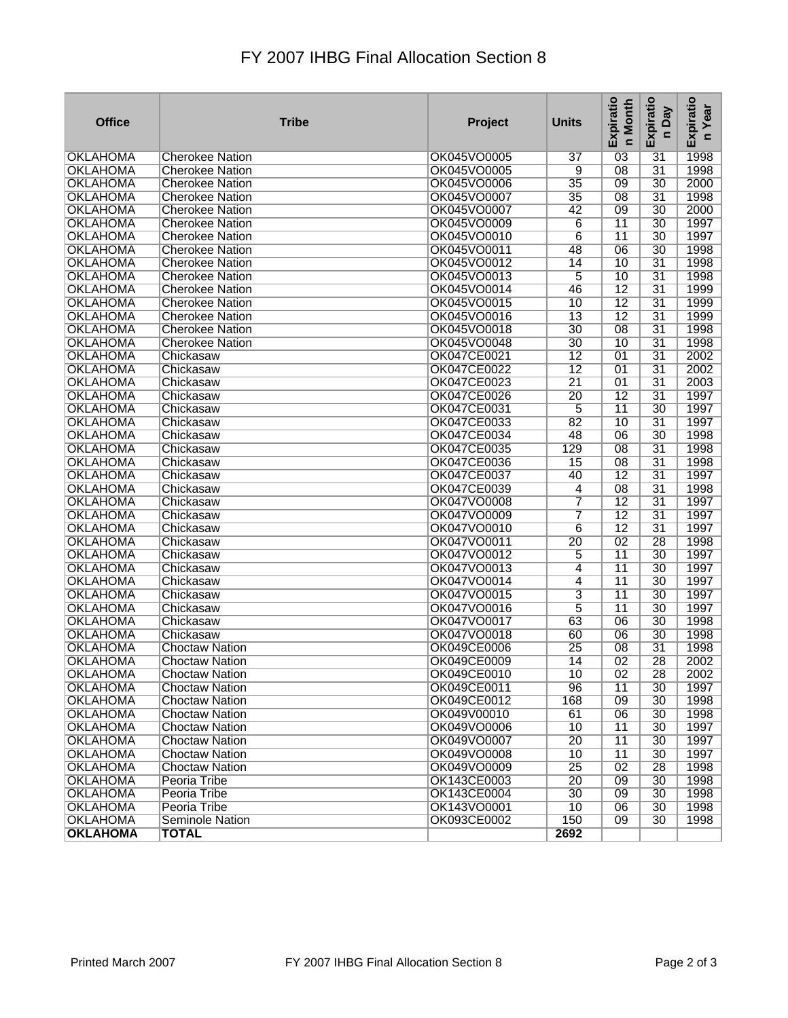## FY 2007 IHBG Final Allocation Section 8

| <b>OKLAHOMA</b><br>OK045VO0005<br>$\overline{03}$<br>$\overline{31}$<br>1998<br><b>Cherokee Nation</b><br>$\overline{37}$<br>$\overline{08}$<br>$\overline{31}$<br>1998<br><b>OKLAHOMA</b><br><b>Cherokee Nation</b><br>OK045VO0005<br>9<br>$\overline{35}$<br>09<br>30<br>2000<br><b>OKLAHOMA</b><br>OK045VO0006<br><b>Cherokee Nation</b><br>$\overline{31}$<br>1998<br><b>OKLAHOMA</b><br>OK045VO0007<br>$\overline{35}$<br>$\overline{08}$<br><b>Cherokee Nation</b><br>2000<br><b>OKLAHOMA</b><br>OK045VO0007<br>42<br>$\overline{09}$<br>30<br><b>Cherokee Nation</b><br>OK045VO0009<br>$6\overline{6}$<br>$\overline{11}$<br>$\overline{30}$<br>1997<br><b>OKLAHOMA</b><br><b>Cherokee Nation</b><br>1997<br><b>OKLAHOMA</b><br>OK045VO0010<br>6<br>$\overline{11}$<br>30<br><b>Cherokee Nation</b><br><b>OKLAHOMA</b><br>OK045VO0011<br>1998<br>48<br>$\overline{06}$<br>$\overline{30}$<br><b>Cherokee Nation</b><br><b>OKLAHOMA</b><br>OK045VO0012<br>$\overline{14}$<br>10<br>$\overline{31}$<br>1998<br><b>Cherokee Nation</b><br>$\overline{5}$<br>$\overline{10}$<br>$\overline{31}$<br>1998<br><b>OKLAHOMA</b><br>OK045VO0013<br><b>Cherokee Nation</b><br>$\overline{12}$<br>$\overline{31}$<br>1999<br><b>OKLAHOMA</b><br>OK045VO0014<br>46<br><b>Cherokee Nation</b><br>$\overline{12}$<br>$\overline{31}$<br>1999<br><b>OKLAHOMA</b><br>OK045VO0015<br>10<br><b>Cherokee Nation</b><br>$\overline{13}$<br>$\overline{12}$<br>$\overline{31}$<br>1999<br><b>OKLAHOMA</b><br><b>Cherokee Nation</b><br>OK045VO0016<br>$\overline{30}$<br><b>OKLAHOMA</b><br>OK045VO0018<br>$\overline{08}$<br>$\overline{31}$<br>1998<br><b>Cherokee Nation</b><br>OK045VO0048<br>$\overline{31}$<br>1998<br><b>OKLAHOMA</b><br>30<br>10<br><b>Cherokee Nation</b><br><b>OKLAHOMA</b><br>OK047CE0021<br>$\overline{12}$<br>$\overline{01}$<br>$\overline{31}$<br>2002<br>Chickasaw<br>$\overline{12}$<br>2002<br><b>OKLAHOMA</b><br>OK047CE0022<br>01<br>$\overline{31}$<br>Chickasaw<br>$\overline{21}$<br>$\overline{31}$<br>2003<br><b>OKLAHOMA</b><br>OK047CE0023<br>01<br>Chickasaw<br>$\overline{12}$<br><b>OKLAHOMA</b><br>OK047CE0026<br>$\overline{20}$<br>$\overline{31}$<br>1997<br>Chickasaw<br><b>OKLAHOMA</b><br>OK047CE0031<br>5<br>$\overline{11}$<br>30<br>1997<br>Chickasaw<br>$\overline{10}$<br>$\overline{31}$<br><b>OKLAHOMA</b><br>Chickasaw<br>OK047CE0033<br>82<br>1997<br>OK047CE0034<br>1998<br><b>OKLAHOMA</b><br>48<br>$\overline{06}$<br>$\overline{30}$<br>Chickasaw<br>1998<br><b>OKLAHOMA</b><br>Chickasaw<br>OK047CE0035<br>129<br>$\overline{08}$<br>$\overline{31}$<br><b>OK047CE0036</b><br>$\overline{15}$<br>$\overline{08}$<br>$\overline{31}$<br>1998<br><b>OKLAHOMA</b><br>Chickasaw<br>$\overline{12}$<br>$\overline{31}$<br><b>OKLAHOMA</b><br>Chickasaw<br>OK047CE0037<br>40<br>1997<br>OK047CE0039<br>$\overline{08}$<br>$\overline{31}$<br>1998<br><b>OKLAHOMA</b><br>$\overline{4}$<br>Chickasaw<br>7<br>$\overline{12}$<br>$\overline{31}$<br><b>OKLAHOMA</b><br>OK047VO0008<br>1997<br>Chickasaw<br>7<br>$\overline{12}$<br>$\overline{31}$<br><b>OKLAHOMA</b><br>Chickasaw<br>OK047VO0009<br>1997<br><b>OKLAHOMA</b><br>OK047VO0010<br>$\overline{12}$<br>$\overline{31}$<br>Chickasaw<br>$6\overline{6}$<br>1997<br>$\overline{02}$<br><b>OKLAHOMA</b><br>Chickasaw<br>OK047VO0011<br>$\overline{20}$<br>28<br>1998<br><b>OKLAHOMA</b><br>OK047VO0012<br>5<br>$\overline{30}$<br>1997<br>Chickasaw<br>$\overline{11}$<br><b>OKLAHOMA</b><br>Chickasaw<br>OK047VO0013<br>$\overline{4}$<br>$\overline{11}$<br>30<br>1997<br>$\overline{11}$<br><b>OKLAHOMA</b><br>OK047VO0014<br>$\overline{4}$<br>$\overline{30}$<br>1997<br>Chickasaw<br><b>OKLAHOMA</b><br>OK047VO0015<br>3<br>$\overline{11}$<br>$\overline{30}$<br>1997<br>Chickasaw<br>$\overline{5}$<br>$\overline{11}$<br>$\overline{30}$<br>1997<br><b>OKLAHOMA</b><br>OK047VO0016<br>Chickasaw<br><b>OKLAHOMA</b><br>OK047VO0017<br>$\overline{30}$<br>Chickasaw<br>63<br>$\overline{06}$<br>1998<br>OK047VO0018<br>$\overline{30}$<br>1998<br><b>OKLAHOMA</b><br>Chickasaw<br>60<br>06<br>$\overline{31}$<br><b>OKLAHOMA</b><br>OK049CE0006<br>$\overline{25}$<br>$\overline{08}$<br>1998<br><b>Choctaw Nation</b><br><b>OKLAHOMA</b><br>OK049CE0009<br>14<br>$\overline{02}$<br>$\overline{28}$<br>2002<br><b>Choctaw Nation</b> |
|--------------------------------------------------------------------------------------------------------------------------------------------------------------------------------------------------------------------------------------------------------------------------------------------------------------------------------------------------------------------------------------------------------------------------------------------------------------------------------------------------------------------------------------------------------------------------------------------------------------------------------------------------------------------------------------------------------------------------------------------------------------------------------------------------------------------------------------------------------------------------------------------------------------------------------------------------------------------------------------------------------------------------------------------------------------------------------------------------------------------------------------------------------------------------------------------------------------------------------------------------------------------------------------------------------------------------------------------------------------------------------------------------------------------------------------------------------------------------------------------------------------------------------------------------------------------------------------------------------------------------------------------------------------------------------------------------------------------------------------------------------------------------------------------------------------------------------------------------------------------------------------------------------------------------------------------------------------------------------------------------------------------------------------------------------------------------------------------------------------------------------------------------------------------------------------------------------------------------------------------------------------------------------------------------------------------------------------------------------------------------------------------------------------------------------------------------------------------------------------------------------------------------------------------------------------------------------------------------------------------------------------------------------------------------------------------------------------------------------------------------------------------------------------------------------------------------------------------------------------------------------------------------------------------------------------------------------------------------------------------------------------------------------------------------------------------------------------------------------------------------------------------------------------------------------------------------------------------------------------------------------------------------------------------------------------------------------------------------------------------------------------------------------------------------------------------------------------------------------------------------------------------------------------------------------------------------------------------------------------------------------------------------------------------------------------------------------------------------------------------------------------------------------------------------------------------------------------------------------------------------------------------------------------------------------------------------------------------------------------------------------------------------------------------------------------------------------------------------------------------------------------------------------------------------------------------------------------------------------------------------------------------------------------------------------------------------------------------------|
|                                                                                                                                                                                                                                                                                                                                                                                                                                                                                                                                                                                                                                                                                                                                                                                                                                                                                                                                                                                                                                                                                                                                                                                                                                                                                                                                                                                                                                                                                                                                                                                                                                                                                                                                                                                                                                                                                                                                                                                                                                                                                                                                                                                                                                                                                                                                                                                                                                                                                                                                                                                                                                                                                                                                                                                                                                                                                                                                                                                                                                                                                                                                                                                                                                                                                                                                                                                                                                                                                                                                                                                                                                                                                                                                                                                                                                                                                                                                                                                                                                                                                                                                                                                                                                                                                                                                                  |
|                                                                                                                                                                                                                                                                                                                                                                                                                                                                                                                                                                                                                                                                                                                                                                                                                                                                                                                                                                                                                                                                                                                                                                                                                                                                                                                                                                                                                                                                                                                                                                                                                                                                                                                                                                                                                                                                                                                                                                                                                                                                                                                                                                                                                                                                                                                                                                                                                                                                                                                                                                                                                                                                                                                                                                                                                                                                                                                                                                                                                                                                                                                                                                                                                                                                                                                                                                                                                                                                                                                                                                                                                                                                                                                                                                                                                                                                                                                                                                                                                                                                                                                                                                                                                                                                                                                                                  |
|                                                                                                                                                                                                                                                                                                                                                                                                                                                                                                                                                                                                                                                                                                                                                                                                                                                                                                                                                                                                                                                                                                                                                                                                                                                                                                                                                                                                                                                                                                                                                                                                                                                                                                                                                                                                                                                                                                                                                                                                                                                                                                                                                                                                                                                                                                                                                                                                                                                                                                                                                                                                                                                                                                                                                                                                                                                                                                                                                                                                                                                                                                                                                                                                                                                                                                                                                                                                                                                                                                                                                                                                                                                                                                                                                                                                                                                                                                                                                                                                                                                                                                                                                                                                                                                                                                                                                  |
|                                                                                                                                                                                                                                                                                                                                                                                                                                                                                                                                                                                                                                                                                                                                                                                                                                                                                                                                                                                                                                                                                                                                                                                                                                                                                                                                                                                                                                                                                                                                                                                                                                                                                                                                                                                                                                                                                                                                                                                                                                                                                                                                                                                                                                                                                                                                                                                                                                                                                                                                                                                                                                                                                                                                                                                                                                                                                                                                                                                                                                                                                                                                                                                                                                                                                                                                                                                                                                                                                                                                                                                                                                                                                                                                                                                                                                                                                                                                                                                                                                                                                                                                                                                                                                                                                                                                                  |
|                                                                                                                                                                                                                                                                                                                                                                                                                                                                                                                                                                                                                                                                                                                                                                                                                                                                                                                                                                                                                                                                                                                                                                                                                                                                                                                                                                                                                                                                                                                                                                                                                                                                                                                                                                                                                                                                                                                                                                                                                                                                                                                                                                                                                                                                                                                                                                                                                                                                                                                                                                                                                                                                                                                                                                                                                                                                                                                                                                                                                                                                                                                                                                                                                                                                                                                                                                                                                                                                                                                                                                                                                                                                                                                                                                                                                                                                                                                                                                                                                                                                                                                                                                                                                                                                                                                                                  |
|                                                                                                                                                                                                                                                                                                                                                                                                                                                                                                                                                                                                                                                                                                                                                                                                                                                                                                                                                                                                                                                                                                                                                                                                                                                                                                                                                                                                                                                                                                                                                                                                                                                                                                                                                                                                                                                                                                                                                                                                                                                                                                                                                                                                                                                                                                                                                                                                                                                                                                                                                                                                                                                                                                                                                                                                                                                                                                                                                                                                                                                                                                                                                                                                                                                                                                                                                                                                                                                                                                                                                                                                                                                                                                                                                                                                                                                                                                                                                                                                                                                                                                                                                                                                                                                                                                                                                  |
|                                                                                                                                                                                                                                                                                                                                                                                                                                                                                                                                                                                                                                                                                                                                                                                                                                                                                                                                                                                                                                                                                                                                                                                                                                                                                                                                                                                                                                                                                                                                                                                                                                                                                                                                                                                                                                                                                                                                                                                                                                                                                                                                                                                                                                                                                                                                                                                                                                                                                                                                                                                                                                                                                                                                                                                                                                                                                                                                                                                                                                                                                                                                                                                                                                                                                                                                                                                                                                                                                                                                                                                                                                                                                                                                                                                                                                                                                                                                                                                                                                                                                                                                                                                                                                                                                                                                                  |
|                                                                                                                                                                                                                                                                                                                                                                                                                                                                                                                                                                                                                                                                                                                                                                                                                                                                                                                                                                                                                                                                                                                                                                                                                                                                                                                                                                                                                                                                                                                                                                                                                                                                                                                                                                                                                                                                                                                                                                                                                                                                                                                                                                                                                                                                                                                                                                                                                                                                                                                                                                                                                                                                                                                                                                                                                                                                                                                                                                                                                                                                                                                                                                                                                                                                                                                                                                                                                                                                                                                                                                                                                                                                                                                                                                                                                                                                                                                                                                                                                                                                                                                                                                                                                                                                                                                                                  |
|                                                                                                                                                                                                                                                                                                                                                                                                                                                                                                                                                                                                                                                                                                                                                                                                                                                                                                                                                                                                                                                                                                                                                                                                                                                                                                                                                                                                                                                                                                                                                                                                                                                                                                                                                                                                                                                                                                                                                                                                                                                                                                                                                                                                                                                                                                                                                                                                                                                                                                                                                                                                                                                                                                                                                                                                                                                                                                                                                                                                                                                                                                                                                                                                                                                                                                                                                                                                                                                                                                                                                                                                                                                                                                                                                                                                                                                                                                                                                                                                                                                                                                                                                                                                                                                                                                                                                  |
|                                                                                                                                                                                                                                                                                                                                                                                                                                                                                                                                                                                                                                                                                                                                                                                                                                                                                                                                                                                                                                                                                                                                                                                                                                                                                                                                                                                                                                                                                                                                                                                                                                                                                                                                                                                                                                                                                                                                                                                                                                                                                                                                                                                                                                                                                                                                                                                                                                                                                                                                                                                                                                                                                                                                                                                                                                                                                                                                                                                                                                                                                                                                                                                                                                                                                                                                                                                                                                                                                                                                                                                                                                                                                                                                                                                                                                                                                                                                                                                                                                                                                                                                                                                                                                                                                                                                                  |
|                                                                                                                                                                                                                                                                                                                                                                                                                                                                                                                                                                                                                                                                                                                                                                                                                                                                                                                                                                                                                                                                                                                                                                                                                                                                                                                                                                                                                                                                                                                                                                                                                                                                                                                                                                                                                                                                                                                                                                                                                                                                                                                                                                                                                                                                                                                                                                                                                                                                                                                                                                                                                                                                                                                                                                                                                                                                                                                                                                                                                                                                                                                                                                                                                                                                                                                                                                                                                                                                                                                                                                                                                                                                                                                                                                                                                                                                                                                                                                                                                                                                                                                                                                                                                                                                                                                                                  |
|                                                                                                                                                                                                                                                                                                                                                                                                                                                                                                                                                                                                                                                                                                                                                                                                                                                                                                                                                                                                                                                                                                                                                                                                                                                                                                                                                                                                                                                                                                                                                                                                                                                                                                                                                                                                                                                                                                                                                                                                                                                                                                                                                                                                                                                                                                                                                                                                                                                                                                                                                                                                                                                                                                                                                                                                                                                                                                                                                                                                                                                                                                                                                                                                                                                                                                                                                                                                                                                                                                                                                                                                                                                                                                                                                                                                                                                                                                                                                                                                                                                                                                                                                                                                                                                                                                                                                  |
|                                                                                                                                                                                                                                                                                                                                                                                                                                                                                                                                                                                                                                                                                                                                                                                                                                                                                                                                                                                                                                                                                                                                                                                                                                                                                                                                                                                                                                                                                                                                                                                                                                                                                                                                                                                                                                                                                                                                                                                                                                                                                                                                                                                                                                                                                                                                                                                                                                                                                                                                                                                                                                                                                                                                                                                                                                                                                                                                                                                                                                                                                                                                                                                                                                                                                                                                                                                                                                                                                                                                                                                                                                                                                                                                                                                                                                                                                                                                                                                                                                                                                                                                                                                                                                                                                                                                                  |
|                                                                                                                                                                                                                                                                                                                                                                                                                                                                                                                                                                                                                                                                                                                                                                                                                                                                                                                                                                                                                                                                                                                                                                                                                                                                                                                                                                                                                                                                                                                                                                                                                                                                                                                                                                                                                                                                                                                                                                                                                                                                                                                                                                                                                                                                                                                                                                                                                                                                                                                                                                                                                                                                                                                                                                                                                                                                                                                                                                                                                                                                                                                                                                                                                                                                                                                                                                                                                                                                                                                                                                                                                                                                                                                                                                                                                                                                                                                                                                                                                                                                                                                                                                                                                                                                                                                                                  |
|                                                                                                                                                                                                                                                                                                                                                                                                                                                                                                                                                                                                                                                                                                                                                                                                                                                                                                                                                                                                                                                                                                                                                                                                                                                                                                                                                                                                                                                                                                                                                                                                                                                                                                                                                                                                                                                                                                                                                                                                                                                                                                                                                                                                                                                                                                                                                                                                                                                                                                                                                                                                                                                                                                                                                                                                                                                                                                                                                                                                                                                                                                                                                                                                                                                                                                                                                                                                                                                                                                                                                                                                                                                                                                                                                                                                                                                                                                                                                                                                                                                                                                                                                                                                                                                                                                                                                  |
|                                                                                                                                                                                                                                                                                                                                                                                                                                                                                                                                                                                                                                                                                                                                                                                                                                                                                                                                                                                                                                                                                                                                                                                                                                                                                                                                                                                                                                                                                                                                                                                                                                                                                                                                                                                                                                                                                                                                                                                                                                                                                                                                                                                                                                                                                                                                                                                                                                                                                                                                                                                                                                                                                                                                                                                                                                                                                                                                                                                                                                                                                                                                                                                                                                                                                                                                                                                                                                                                                                                                                                                                                                                                                                                                                                                                                                                                                                                                                                                                                                                                                                                                                                                                                                                                                                                                                  |
|                                                                                                                                                                                                                                                                                                                                                                                                                                                                                                                                                                                                                                                                                                                                                                                                                                                                                                                                                                                                                                                                                                                                                                                                                                                                                                                                                                                                                                                                                                                                                                                                                                                                                                                                                                                                                                                                                                                                                                                                                                                                                                                                                                                                                                                                                                                                                                                                                                                                                                                                                                                                                                                                                                                                                                                                                                                                                                                                                                                                                                                                                                                                                                                                                                                                                                                                                                                                                                                                                                                                                                                                                                                                                                                                                                                                                                                                                                                                                                                                                                                                                                                                                                                                                                                                                                                                                  |
|                                                                                                                                                                                                                                                                                                                                                                                                                                                                                                                                                                                                                                                                                                                                                                                                                                                                                                                                                                                                                                                                                                                                                                                                                                                                                                                                                                                                                                                                                                                                                                                                                                                                                                                                                                                                                                                                                                                                                                                                                                                                                                                                                                                                                                                                                                                                                                                                                                                                                                                                                                                                                                                                                                                                                                                                                                                                                                                                                                                                                                                                                                                                                                                                                                                                                                                                                                                                                                                                                                                                                                                                                                                                                                                                                                                                                                                                                                                                                                                                                                                                                                                                                                                                                                                                                                                                                  |
|                                                                                                                                                                                                                                                                                                                                                                                                                                                                                                                                                                                                                                                                                                                                                                                                                                                                                                                                                                                                                                                                                                                                                                                                                                                                                                                                                                                                                                                                                                                                                                                                                                                                                                                                                                                                                                                                                                                                                                                                                                                                                                                                                                                                                                                                                                                                                                                                                                                                                                                                                                                                                                                                                                                                                                                                                                                                                                                                                                                                                                                                                                                                                                                                                                                                                                                                                                                                                                                                                                                                                                                                                                                                                                                                                                                                                                                                                                                                                                                                                                                                                                                                                                                                                                                                                                                                                  |
|                                                                                                                                                                                                                                                                                                                                                                                                                                                                                                                                                                                                                                                                                                                                                                                                                                                                                                                                                                                                                                                                                                                                                                                                                                                                                                                                                                                                                                                                                                                                                                                                                                                                                                                                                                                                                                                                                                                                                                                                                                                                                                                                                                                                                                                                                                                                                                                                                                                                                                                                                                                                                                                                                                                                                                                                                                                                                                                                                                                                                                                                                                                                                                                                                                                                                                                                                                                                                                                                                                                                                                                                                                                                                                                                                                                                                                                                                                                                                                                                                                                                                                                                                                                                                                                                                                                                                  |
|                                                                                                                                                                                                                                                                                                                                                                                                                                                                                                                                                                                                                                                                                                                                                                                                                                                                                                                                                                                                                                                                                                                                                                                                                                                                                                                                                                                                                                                                                                                                                                                                                                                                                                                                                                                                                                                                                                                                                                                                                                                                                                                                                                                                                                                                                                                                                                                                                                                                                                                                                                                                                                                                                                                                                                                                                                                                                                                                                                                                                                                                                                                                                                                                                                                                                                                                                                                                                                                                                                                                                                                                                                                                                                                                                                                                                                                                                                                                                                                                                                                                                                                                                                                                                                                                                                                                                  |
|                                                                                                                                                                                                                                                                                                                                                                                                                                                                                                                                                                                                                                                                                                                                                                                                                                                                                                                                                                                                                                                                                                                                                                                                                                                                                                                                                                                                                                                                                                                                                                                                                                                                                                                                                                                                                                                                                                                                                                                                                                                                                                                                                                                                                                                                                                                                                                                                                                                                                                                                                                                                                                                                                                                                                                                                                                                                                                                                                                                                                                                                                                                                                                                                                                                                                                                                                                                                                                                                                                                                                                                                                                                                                                                                                                                                                                                                                                                                                                                                                                                                                                                                                                                                                                                                                                                                                  |
|                                                                                                                                                                                                                                                                                                                                                                                                                                                                                                                                                                                                                                                                                                                                                                                                                                                                                                                                                                                                                                                                                                                                                                                                                                                                                                                                                                                                                                                                                                                                                                                                                                                                                                                                                                                                                                                                                                                                                                                                                                                                                                                                                                                                                                                                                                                                                                                                                                                                                                                                                                                                                                                                                                                                                                                                                                                                                                                                                                                                                                                                                                                                                                                                                                                                                                                                                                                                                                                                                                                                                                                                                                                                                                                                                                                                                                                                                                                                                                                                                                                                                                                                                                                                                                                                                                                                                  |
|                                                                                                                                                                                                                                                                                                                                                                                                                                                                                                                                                                                                                                                                                                                                                                                                                                                                                                                                                                                                                                                                                                                                                                                                                                                                                                                                                                                                                                                                                                                                                                                                                                                                                                                                                                                                                                                                                                                                                                                                                                                                                                                                                                                                                                                                                                                                                                                                                                                                                                                                                                                                                                                                                                                                                                                                                                                                                                                                                                                                                                                                                                                                                                                                                                                                                                                                                                                                                                                                                                                                                                                                                                                                                                                                                                                                                                                                                                                                                                                                                                                                                                                                                                                                                                                                                                                                                  |
|                                                                                                                                                                                                                                                                                                                                                                                                                                                                                                                                                                                                                                                                                                                                                                                                                                                                                                                                                                                                                                                                                                                                                                                                                                                                                                                                                                                                                                                                                                                                                                                                                                                                                                                                                                                                                                                                                                                                                                                                                                                                                                                                                                                                                                                                                                                                                                                                                                                                                                                                                                                                                                                                                                                                                                                                                                                                                                                                                                                                                                                                                                                                                                                                                                                                                                                                                                                                                                                                                                                                                                                                                                                                                                                                                                                                                                                                                                                                                                                                                                                                                                                                                                                                                                                                                                                                                  |
|                                                                                                                                                                                                                                                                                                                                                                                                                                                                                                                                                                                                                                                                                                                                                                                                                                                                                                                                                                                                                                                                                                                                                                                                                                                                                                                                                                                                                                                                                                                                                                                                                                                                                                                                                                                                                                                                                                                                                                                                                                                                                                                                                                                                                                                                                                                                                                                                                                                                                                                                                                                                                                                                                                                                                                                                                                                                                                                                                                                                                                                                                                                                                                                                                                                                                                                                                                                                                                                                                                                                                                                                                                                                                                                                                                                                                                                                                                                                                                                                                                                                                                                                                                                                                                                                                                                                                  |
|                                                                                                                                                                                                                                                                                                                                                                                                                                                                                                                                                                                                                                                                                                                                                                                                                                                                                                                                                                                                                                                                                                                                                                                                                                                                                                                                                                                                                                                                                                                                                                                                                                                                                                                                                                                                                                                                                                                                                                                                                                                                                                                                                                                                                                                                                                                                                                                                                                                                                                                                                                                                                                                                                                                                                                                                                                                                                                                                                                                                                                                                                                                                                                                                                                                                                                                                                                                                                                                                                                                                                                                                                                                                                                                                                                                                                                                                                                                                                                                                                                                                                                                                                                                                                                                                                                                                                  |
|                                                                                                                                                                                                                                                                                                                                                                                                                                                                                                                                                                                                                                                                                                                                                                                                                                                                                                                                                                                                                                                                                                                                                                                                                                                                                                                                                                                                                                                                                                                                                                                                                                                                                                                                                                                                                                                                                                                                                                                                                                                                                                                                                                                                                                                                                                                                                                                                                                                                                                                                                                                                                                                                                                                                                                                                                                                                                                                                                                                                                                                                                                                                                                                                                                                                                                                                                                                                                                                                                                                                                                                                                                                                                                                                                                                                                                                                                                                                                                                                                                                                                                                                                                                                                                                                                                                                                  |
|                                                                                                                                                                                                                                                                                                                                                                                                                                                                                                                                                                                                                                                                                                                                                                                                                                                                                                                                                                                                                                                                                                                                                                                                                                                                                                                                                                                                                                                                                                                                                                                                                                                                                                                                                                                                                                                                                                                                                                                                                                                                                                                                                                                                                                                                                                                                                                                                                                                                                                                                                                                                                                                                                                                                                                                                                                                                                                                                                                                                                                                                                                                                                                                                                                                                                                                                                                                                                                                                                                                                                                                                                                                                                                                                                                                                                                                                                                                                                                                                                                                                                                                                                                                                                                                                                                                                                  |
|                                                                                                                                                                                                                                                                                                                                                                                                                                                                                                                                                                                                                                                                                                                                                                                                                                                                                                                                                                                                                                                                                                                                                                                                                                                                                                                                                                                                                                                                                                                                                                                                                                                                                                                                                                                                                                                                                                                                                                                                                                                                                                                                                                                                                                                                                                                                                                                                                                                                                                                                                                                                                                                                                                                                                                                                                                                                                                                                                                                                                                                                                                                                                                                                                                                                                                                                                                                                                                                                                                                                                                                                                                                                                                                                                                                                                                                                                                                                                                                                                                                                                                                                                                                                                                                                                                                                                  |
|                                                                                                                                                                                                                                                                                                                                                                                                                                                                                                                                                                                                                                                                                                                                                                                                                                                                                                                                                                                                                                                                                                                                                                                                                                                                                                                                                                                                                                                                                                                                                                                                                                                                                                                                                                                                                                                                                                                                                                                                                                                                                                                                                                                                                                                                                                                                                                                                                                                                                                                                                                                                                                                                                                                                                                                                                                                                                                                                                                                                                                                                                                                                                                                                                                                                                                                                                                                                                                                                                                                                                                                                                                                                                                                                                                                                                                                                                                                                                                                                                                                                                                                                                                                                                                                                                                                                                  |
|                                                                                                                                                                                                                                                                                                                                                                                                                                                                                                                                                                                                                                                                                                                                                                                                                                                                                                                                                                                                                                                                                                                                                                                                                                                                                                                                                                                                                                                                                                                                                                                                                                                                                                                                                                                                                                                                                                                                                                                                                                                                                                                                                                                                                                                                                                                                                                                                                                                                                                                                                                                                                                                                                                                                                                                                                                                                                                                                                                                                                                                                                                                                                                                                                                                                                                                                                                                                                                                                                                                                                                                                                                                                                                                                                                                                                                                                                                                                                                                                                                                                                                                                                                                                                                                                                                                                                  |
|                                                                                                                                                                                                                                                                                                                                                                                                                                                                                                                                                                                                                                                                                                                                                                                                                                                                                                                                                                                                                                                                                                                                                                                                                                                                                                                                                                                                                                                                                                                                                                                                                                                                                                                                                                                                                                                                                                                                                                                                                                                                                                                                                                                                                                                                                                                                                                                                                                                                                                                                                                                                                                                                                                                                                                                                                                                                                                                                                                                                                                                                                                                                                                                                                                                                                                                                                                                                                                                                                                                                                                                                                                                                                                                                                                                                                                                                                                                                                                                                                                                                                                                                                                                                                                                                                                                                                  |
|                                                                                                                                                                                                                                                                                                                                                                                                                                                                                                                                                                                                                                                                                                                                                                                                                                                                                                                                                                                                                                                                                                                                                                                                                                                                                                                                                                                                                                                                                                                                                                                                                                                                                                                                                                                                                                                                                                                                                                                                                                                                                                                                                                                                                                                                                                                                                                                                                                                                                                                                                                                                                                                                                                                                                                                                                                                                                                                                                                                                                                                                                                                                                                                                                                                                                                                                                                                                                                                                                                                                                                                                                                                                                                                                                                                                                                                                                                                                                                                                                                                                                                                                                                                                                                                                                                                                                  |
|                                                                                                                                                                                                                                                                                                                                                                                                                                                                                                                                                                                                                                                                                                                                                                                                                                                                                                                                                                                                                                                                                                                                                                                                                                                                                                                                                                                                                                                                                                                                                                                                                                                                                                                                                                                                                                                                                                                                                                                                                                                                                                                                                                                                                                                                                                                                                                                                                                                                                                                                                                                                                                                                                                                                                                                                                                                                                                                                                                                                                                                                                                                                                                                                                                                                                                                                                                                                                                                                                                                                                                                                                                                                                                                                                                                                                                                                                                                                                                                                                                                                                                                                                                                                                                                                                                                                                  |
|                                                                                                                                                                                                                                                                                                                                                                                                                                                                                                                                                                                                                                                                                                                                                                                                                                                                                                                                                                                                                                                                                                                                                                                                                                                                                                                                                                                                                                                                                                                                                                                                                                                                                                                                                                                                                                                                                                                                                                                                                                                                                                                                                                                                                                                                                                                                                                                                                                                                                                                                                                                                                                                                                                                                                                                                                                                                                                                                                                                                                                                                                                                                                                                                                                                                                                                                                                                                                                                                                                                                                                                                                                                                                                                                                                                                                                                                                                                                                                                                                                                                                                                                                                                                                                                                                                                                                  |
|                                                                                                                                                                                                                                                                                                                                                                                                                                                                                                                                                                                                                                                                                                                                                                                                                                                                                                                                                                                                                                                                                                                                                                                                                                                                                                                                                                                                                                                                                                                                                                                                                                                                                                                                                                                                                                                                                                                                                                                                                                                                                                                                                                                                                                                                                                                                                                                                                                                                                                                                                                                                                                                                                                                                                                                                                                                                                                                                                                                                                                                                                                                                                                                                                                                                                                                                                                                                                                                                                                                                                                                                                                                                                                                                                                                                                                                                                                                                                                                                                                                                                                                                                                                                                                                                                                                                                  |
|                                                                                                                                                                                                                                                                                                                                                                                                                                                                                                                                                                                                                                                                                                                                                                                                                                                                                                                                                                                                                                                                                                                                                                                                                                                                                                                                                                                                                                                                                                                                                                                                                                                                                                                                                                                                                                                                                                                                                                                                                                                                                                                                                                                                                                                                                                                                                                                                                                                                                                                                                                                                                                                                                                                                                                                                                                                                                                                                                                                                                                                                                                                                                                                                                                                                                                                                                                                                                                                                                                                                                                                                                                                                                                                                                                                                                                                                                                                                                                                                                                                                                                                                                                                                                                                                                                                                                  |
|                                                                                                                                                                                                                                                                                                                                                                                                                                                                                                                                                                                                                                                                                                                                                                                                                                                                                                                                                                                                                                                                                                                                                                                                                                                                                                                                                                                                                                                                                                                                                                                                                                                                                                                                                                                                                                                                                                                                                                                                                                                                                                                                                                                                                                                                                                                                                                                                                                                                                                                                                                                                                                                                                                                                                                                                                                                                                                                                                                                                                                                                                                                                                                                                                                                                                                                                                                                                                                                                                                                                                                                                                                                                                                                                                                                                                                                                                                                                                                                                                                                                                                                                                                                                                                                                                                                                                  |
| <b>OKLAHOMA</b><br>OK049CE0010<br>$\overline{02}$<br>28<br>2002<br><b>Choctaw Nation</b><br>10                                                                                                                                                                                                                                                                                                                                                                                                                                                                                                                                                                                                                                                                                                                                                                                                                                                                                                                                                                                                                                                                                                                                                                                                                                                                                                                                                                                                                                                                                                                                                                                                                                                                                                                                                                                                                                                                                                                                                                                                                                                                                                                                                                                                                                                                                                                                                                                                                                                                                                                                                                                                                                                                                                                                                                                                                                                                                                                                                                                                                                                                                                                                                                                                                                                                                                                                                                                                                                                                                                                                                                                                                                                                                                                                                                                                                                                                                                                                                                                                                                                                                                                                                                                                                                                   |
| <b>OKLAHOMA</b><br>1997<br><b>Choctaw Nation</b><br>OK049CE0011<br>96<br>11<br>30                                                                                                                                                                                                                                                                                                                                                                                                                                                                                                                                                                                                                                                                                                                                                                                                                                                                                                                                                                                                                                                                                                                                                                                                                                                                                                                                                                                                                                                                                                                                                                                                                                                                                                                                                                                                                                                                                                                                                                                                                                                                                                                                                                                                                                                                                                                                                                                                                                                                                                                                                                                                                                                                                                                                                                                                                                                                                                                                                                                                                                                                                                                                                                                                                                                                                                                                                                                                                                                                                                                                                                                                                                                                                                                                                                                                                                                                                                                                                                                                                                                                                                                                                                                                                                                                |
| <b>OKLAHOMA</b><br>OK049CE0012<br>168<br>$\overline{09}$<br>$\overline{30}$<br>1998<br><b>Choctaw Nation</b>                                                                                                                                                                                                                                                                                                                                                                                                                                                                                                                                                                                                                                                                                                                                                                                                                                                                                                                                                                                                                                                                                                                                                                                                                                                                                                                                                                                                                                                                                                                                                                                                                                                                                                                                                                                                                                                                                                                                                                                                                                                                                                                                                                                                                                                                                                                                                                                                                                                                                                                                                                                                                                                                                                                                                                                                                                                                                                                                                                                                                                                                                                                                                                                                                                                                                                                                                                                                                                                                                                                                                                                                                                                                                                                                                                                                                                                                                                                                                                                                                                                                                                                                                                                                                                     |
| $\overline{30}$<br>1998<br><b>OKLAHOMA</b><br><b>Choctaw Nation</b><br>OK049V00010<br>61<br>06                                                                                                                                                                                                                                                                                                                                                                                                                                                                                                                                                                                                                                                                                                                                                                                                                                                                                                                                                                                                                                                                                                                                                                                                                                                                                                                                                                                                                                                                                                                                                                                                                                                                                                                                                                                                                                                                                                                                                                                                                                                                                                                                                                                                                                                                                                                                                                                                                                                                                                                                                                                                                                                                                                                                                                                                                                                                                                                                                                                                                                                                                                                                                                                                                                                                                                                                                                                                                                                                                                                                                                                                                                                                                                                                                                                                                                                                                                                                                                                                                                                                                                                                                                                                                                                   |
| <b>OKLAHOMA</b><br><b>Choctaw Nation</b><br>OK049VO0006<br>$\overline{10}$<br>$\overline{11}$<br>30<br>1997                                                                                                                                                                                                                                                                                                                                                                                                                                                                                                                                                                                                                                                                                                                                                                                                                                                                                                                                                                                                                                                                                                                                                                                                                                                                                                                                                                                                                                                                                                                                                                                                                                                                                                                                                                                                                                                                                                                                                                                                                                                                                                                                                                                                                                                                                                                                                                                                                                                                                                                                                                                                                                                                                                                                                                                                                                                                                                                                                                                                                                                                                                                                                                                                                                                                                                                                                                                                                                                                                                                                                                                                                                                                                                                                                                                                                                                                                                                                                                                                                                                                                                                                                                                                                                      |
| <b>OKLAHOMA</b><br><b>Choctaw Nation</b><br>OK049VO0007<br>20<br>11<br>30<br>1997                                                                                                                                                                                                                                                                                                                                                                                                                                                                                                                                                                                                                                                                                                                                                                                                                                                                                                                                                                                                                                                                                                                                                                                                                                                                                                                                                                                                                                                                                                                                                                                                                                                                                                                                                                                                                                                                                                                                                                                                                                                                                                                                                                                                                                                                                                                                                                                                                                                                                                                                                                                                                                                                                                                                                                                                                                                                                                                                                                                                                                                                                                                                                                                                                                                                                                                                                                                                                                                                                                                                                                                                                                                                                                                                                                                                                                                                                                                                                                                                                                                                                                                                                                                                                                                                |
| <b>OKLAHOMA</b><br>OK049VO0008<br>$\overline{10}$<br>$\overline{11}$<br>30<br>1997<br><b>Choctaw Nation</b>                                                                                                                                                                                                                                                                                                                                                                                                                                                                                                                                                                                                                                                                                                                                                                                                                                                                                                                                                                                                                                                                                                                                                                                                                                                                                                                                                                                                                                                                                                                                                                                                                                                                                                                                                                                                                                                                                                                                                                                                                                                                                                                                                                                                                                                                                                                                                                                                                                                                                                                                                                                                                                                                                                                                                                                                                                                                                                                                                                                                                                                                                                                                                                                                                                                                                                                                                                                                                                                                                                                                                                                                                                                                                                                                                                                                                                                                                                                                                                                                                                                                                                                                                                                                                                      |
| <b>OKLAHOMA</b><br>OK049VO0009<br>$\overline{25}$<br>$\overline{02}$<br>$\overline{28}$<br>1998<br><b>Choctaw Nation</b>                                                                                                                                                                                                                                                                                                                                                                                                                                                                                                                                                                                                                                                                                                                                                                                                                                                                                                                                                                                                                                                                                                                                                                                                                                                                                                                                                                                                                                                                                                                                                                                                                                                                                                                                                                                                                                                                                                                                                                                                                                                                                                                                                                                                                                                                                                                                                                                                                                                                                                                                                                                                                                                                                                                                                                                                                                                                                                                                                                                                                                                                                                                                                                                                                                                                                                                                                                                                                                                                                                                                                                                                                                                                                                                                                                                                                                                                                                                                                                                                                                                                                                                                                                                                                         |
| <b>OKLAHOMA</b><br>OK143CE0003<br>$\overline{20}$<br>$\overline{09}$<br>$\overline{30}$<br>1998<br>Peoria Tribe                                                                                                                                                                                                                                                                                                                                                                                                                                                                                                                                                                                                                                                                                                                                                                                                                                                                                                                                                                                                                                                                                                                                                                                                                                                                                                                                                                                                                                                                                                                                                                                                                                                                                                                                                                                                                                                                                                                                                                                                                                                                                                                                                                                                                                                                                                                                                                                                                                                                                                                                                                                                                                                                                                                                                                                                                                                                                                                                                                                                                                                                                                                                                                                                                                                                                                                                                                                                                                                                                                                                                                                                                                                                                                                                                                                                                                                                                                                                                                                                                                                                                                                                                                                                                                  |
| 1998<br><b>OKLAHOMA</b><br><b>Peoria Tribe</b><br>OK143CE0004<br>30<br>09<br>30                                                                                                                                                                                                                                                                                                                                                                                                                                                                                                                                                                                                                                                                                                                                                                                                                                                                                                                                                                                                                                                                                                                                                                                                                                                                                                                                                                                                                                                                                                                                                                                                                                                                                                                                                                                                                                                                                                                                                                                                                                                                                                                                                                                                                                                                                                                                                                                                                                                                                                                                                                                                                                                                                                                                                                                                                                                                                                                                                                                                                                                                                                                                                                                                                                                                                                                                                                                                                                                                                                                                                                                                                                                                                                                                                                                                                                                                                                                                                                                                                                                                                                                                                                                                                                                                  |
| <b>OKLAHOMA</b><br>OK143VO0001<br>10<br>06<br>$\overline{30}$<br>1998<br>Peoria Tribe                                                                                                                                                                                                                                                                                                                                                                                                                                                                                                                                                                                                                                                                                                                                                                                                                                                                                                                                                                                                                                                                                                                                                                                                                                                                                                                                                                                                                                                                                                                                                                                                                                                                                                                                                                                                                                                                                                                                                                                                                                                                                                                                                                                                                                                                                                                                                                                                                                                                                                                                                                                                                                                                                                                                                                                                                                                                                                                                                                                                                                                                                                                                                                                                                                                                                                                                                                                                                                                                                                                                                                                                                                                                                                                                                                                                                                                                                                                                                                                                                                                                                                                                                                                                                                                            |
| <b>OKLAHOMA</b><br>OK093CE0002<br>150<br>1998<br><b>Seminole Nation</b><br>09<br>30                                                                                                                                                                                                                                                                                                                                                                                                                                                                                                                                                                                                                                                                                                                                                                                                                                                                                                                                                                                                                                                                                                                                                                                                                                                                                                                                                                                                                                                                                                                                                                                                                                                                                                                                                                                                                                                                                                                                                                                                                                                                                                                                                                                                                                                                                                                                                                                                                                                                                                                                                                                                                                                                                                                                                                                                                                                                                                                                                                                                                                                                                                                                                                                                                                                                                                                                                                                                                                                                                                                                                                                                                                                                                                                                                                                                                                                                                                                                                                                                                                                                                                                                                                                                                                                              |
| <b>TOTAL</b><br>2692<br><b>OKLAHOMA</b>                                                                                                                                                                                                                                                                                                                                                                                                                                                                                                                                                                                                                                                                                                                                                                                                                                                                                                                                                                                                                                                                                                                                                                                                                                                                                                                                                                                                                                                                                                                                                                                                                                                                                                                                                                                                                                                                                                                                                                                                                                                                                                                                                                                                                                                                                                                                                                                                                                                                                                                                                                                                                                                                                                                                                                                                                                                                                                                                                                                                                                                                                                                                                                                                                                                                                                                                                                                                                                                                                                                                                                                                                                                                                                                                                                                                                                                                                                                                                                                                                                                                                                                                                                                                                                                                                                          |